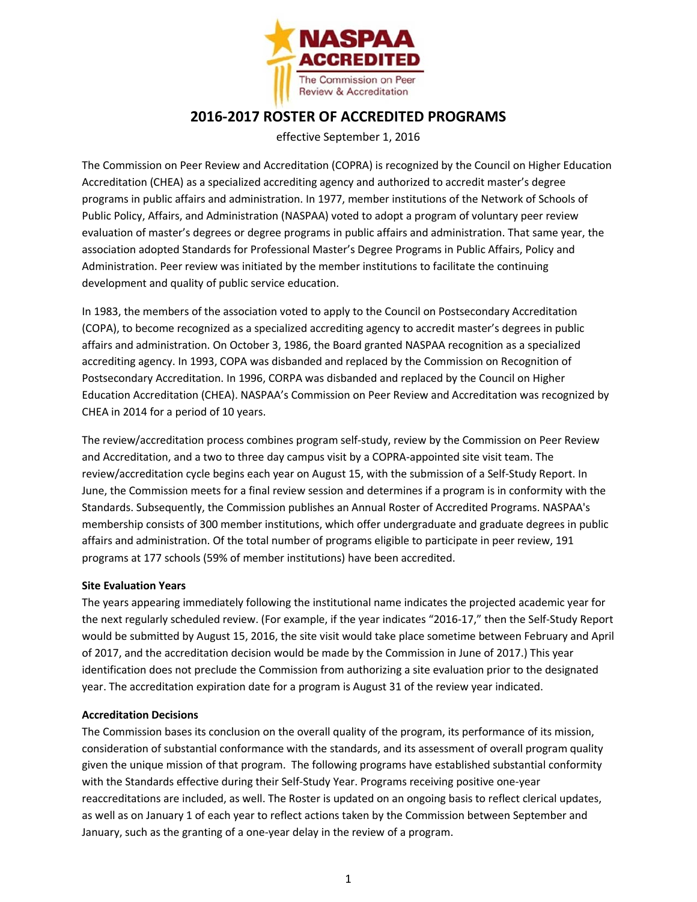

## **2016-2017 ROSTER OF ACCREDITED PROGRAMS**

effective September 1, 2016

The Commission on Peer Review and Accreditation (COPRA) is recognized by the Council on Higher Education Accreditation (CHEA) as a specialized accrediting agency and authorized to accredit master's degree programs in public affairs and administration. In 1977, member institutions of the Network of Schools of Public Policy, Affairs, and Administration (NASPAA) voted to adopt a program of voluntary peer review evaluation of master's degrees or degree programs in public affairs and administration. That same year, the association adopted Standards for Professional Master's Degree Programs in Public Affairs, Policy and Administration. Peer review was initiated by the member institutions to facilitate the continuing development and quality of public service education.

In 1983, the members of the association voted to apply to the Council on Postsecondary Accreditation (COPA), to become recognized as a specialized accrediting agency to accredit master's degrees in public affairs and administration. On October 3, 1986, the Board granted NASPAA recognition as a specialized accrediting agency. In 1993, COPA was disbanded and replaced by the Commission on Recognition of Postsecondary Accreditation. In 1996, CORPA was disbanded and replaced by the Council on Higher Education Accreditation (CHEA). NASPAA's Commission on Peer Review and Accreditation was recognized by CHEA in 2014 for a period of 10 years.

The review/accreditation process combines program self-study, review by the Commission on Peer Review and Accreditation, and a two to three day campus visit by a COPRA-appointed site visit team. The review/accreditation cycle begins each year on August 15, with the submission of a Self-Study Report. In June, the Commission meets for a final review session and determines if a program is in conformity with the Standards. Subsequently, the Commission publishes an Annual Roster of Accredited Programs. NASPAA's membership consists of 300 member institutions, which offer undergraduate and graduate degrees in public affairs and administration. Of the total number of programs eligible to participate in peer review, 191 programs at 177 schools (59% of member institutions) have been accredited.

## **Site Evaluation Years**

The years appearing immediately following the institutional name indicates the projected academic year for the next regularly scheduled review. (For example, if the year indicates "2016-17," then the Self-Study Report would be submitted by August 15, 2016, the site visit would take place sometime between February and April of 2017, and the accreditation decision would be made by the Commission in June of 2017.) This year identification does not preclude the Commission from authorizing a site evaluation prior to the designated year. The accreditation expiration date for a program is August 31 of the review year indicated.

## **Accreditation Decisions**

The Commission bases its conclusion on the overall quality of the program, its performance of its mission, consideration of substantial conformance with the standards, and its assessment of overall program quality given the unique mission of that program. The following programs have established substantial conformity with the Standards effective during their Self-Study Year. Programs receiving positive one-year reaccreditations are included, as well. The Roster is updated on an ongoing basis to reflect clerical updates, as well as on January 1 of each year to reflect actions taken by the Commission between September and January, such as the granting of a one-year delay in the review of a program.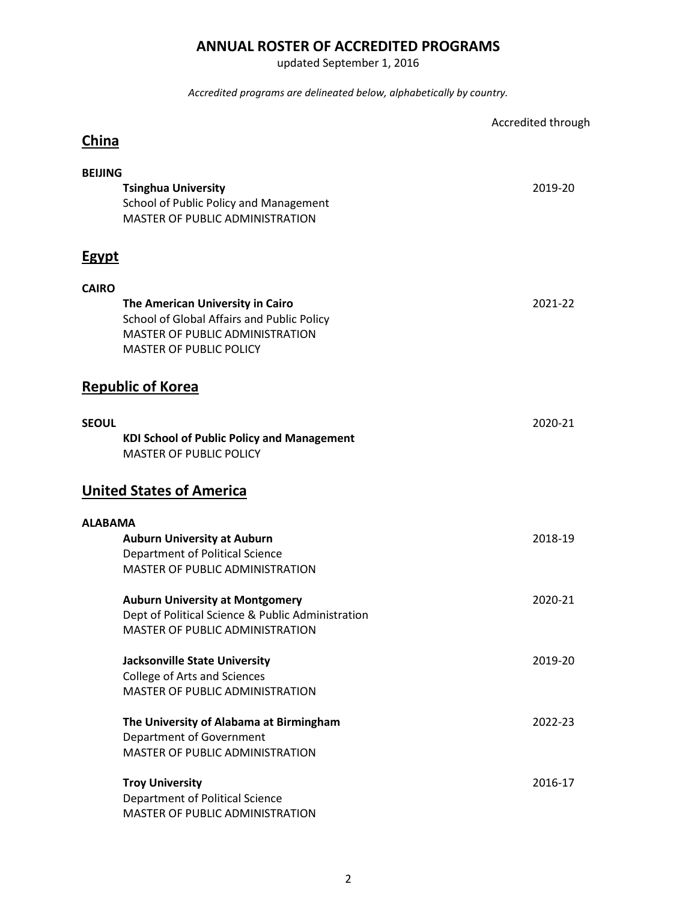## **ANNUAL ROSTER OF ACCREDITED PROGRAMS**

updated September 1, 2016

*Accredited programs are delineated below, alphabetically by country.*

|                |                                                                                                                                                            | Accredited through |
|----------------|------------------------------------------------------------------------------------------------------------------------------------------------------------|--------------------|
| <b>China</b>   |                                                                                                                                                            |                    |
| <b>BEIJING</b> |                                                                                                                                                            |                    |
|                | <b>Tsinghua University</b><br>School of Public Policy and Management<br>MASTER OF PUBLIC ADMINISTRATION                                                    | 2019-20            |
| <b>Egypt</b>   |                                                                                                                                                            |                    |
| <b>CAIRO</b>   |                                                                                                                                                            |                    |
|                | The American University in Cairo<br>School of Global Affairs and Public Policy<br><b>MASTER OF PUBLIC ADMINISTRATION</b><br><b>MASTER OF PUBLIC POLICY</b> | 2021-22            |
|                | <b>Republic of Korea</b>                                                                                                                                   |                    |
| <b>SEOUL</b>   | <b>KDI School of Public Policy and Management</b><br><b>MASTER OF PUBLIC POLICY</b>                                                                        | 2020-21            |
|                | <b>United States of America</b>                                                                                                                            |                    |
| <b>ALABAMA</b> |                                                                                                                                                            |                    |
|                | <b>Auburn University at Auburn</b>                                                                                                                         | 2018-19            |
|                | Department of Political Science<br><b>MASTER OF PUBLIC ADMINISTRATION</b>                                                                                  |                    |
|                | <b>Auburn University at Montgomery</b>                                                                                                                     | 2020-21            |
|                | Dept of Political Science & Public Administration<br>MASTER OF PUBLIC ADMINISTRATION                                                                       |                    |
|                | <b>Jacksonville State University</b>                                                                                                                       | 2019-20            |
|                | College of Arts and Sciences                                                                                                                               |                    |
|                | MASTER OF PUBLIC ADMINISTRATION                                                                                                                            |                    |
|                | The University of Alabama at Birmingham                                                                                                                    | 2022-23            |
|                | Department of Government                                                                                                                                   |                    |
|                | MASTER OF PUBLIC ADMINISTRATION                                                                                                                            |                    |
|                | <b>Troy University</b>                                                                                                                                     | 2016-17            |
|                | Department of Political Science                                                                                                                            |                    |
|                | MASTER OF PUBLIC ADMINISTRATION                                                                                                                            |                    |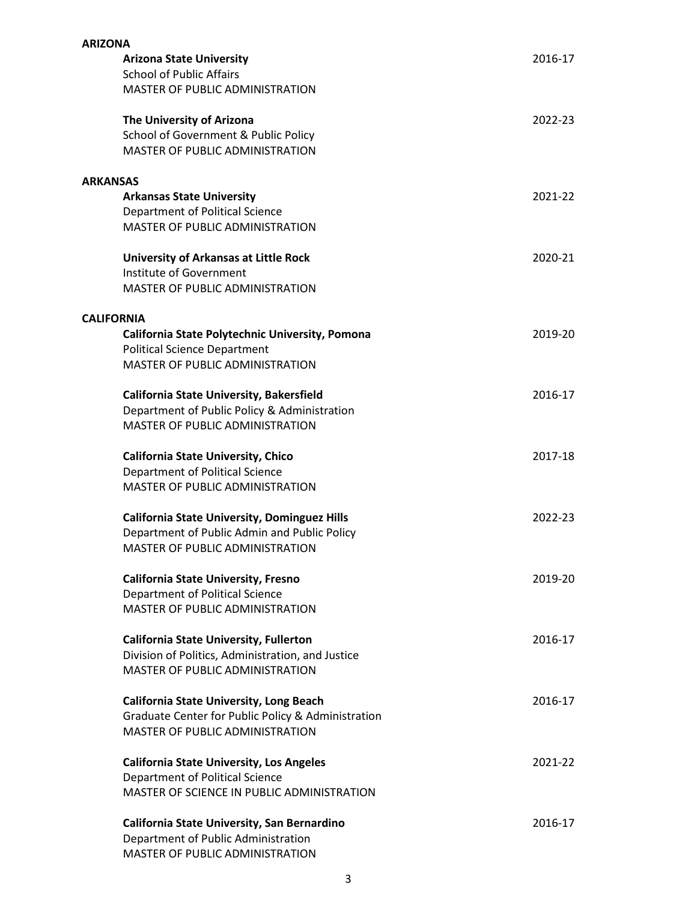| <b>ARIZONA</b>                                      |         |
|-----------------------------------------------------|---------|
| <b>Arizona State University</b>                     | 2016-17 |
| <b>School of Public Affairs</b>                     |         |
| MASTER OF PUBLIC ADMINISTRATION                     |         |
| The University of Arizona                           | 2022-23 |
| School of Government & Public Policy                |         |
| MASTER OF PUBLIC ADMINISTRATION                     |         |
| <b>ARKANSAS</b>                                     |         |
| <b>Arkansas State University</b>                    | 2021-22 |
| Department of Political Science                     |         |
| <b>MASTER OF PUBLIC ADMINISTRATION</b>              |         |
|                                                     |         |
| <b>University of Arkansas at Little Rock</b>        | 2020-21 |
| Institute of Government                             |         |
| MASTER OF PUBLIC ADMINISTRATION                     |         |
| <b>CALIFORNIA</b>                                   |         |
| California State Polytechnic University, Pomona     | 2019-20 |
| <b>Political Science Department</b>                 |         |
| <b>MASTER OF PUBLIC ADMINISTRATION</b>              |         |
| <b>California State University, Bakersfield</b>     | 2016-17 |
| Department of Public Policy & Administration        |         |
| MASTER OF PUBLIC ADMINISTRATION                     |         |
|                                                     |         |
| <b>California State University, Chico</b>           | 2017-18 |
| Department of Political Science                     |         |
| MASTER OF PUBLIC ADMINISTRATION                     |         |
| <b>California State University, Dominguez Hills</b> | 2022-23 |
| Department of Public Admin and Public Policy        |         |
| MASTER OF PUBLIC ADMINISTRATION                     |         |
|                                                     |         |
| <b>California State University, Fresno</b>          | 2019-20 |
| Department of Political Science                     |         |
| MASTER OF PUBLIC ADMINISTRATION                     |         |
| <b>California State University, Fullerton</b>       | 2016-17 |
| Division of Politics, Administration, and Justice   |         |
| MASTER OF PUBLIC ADMINISTRATION                     |         |
| <b>California State University, Long Beach</b>      | 2016-17 |
| Graduate Center for Public Policy & Administration  |         |
| MASTER OF PUBLIC ADMINISTRATION                     |         |
| <b>California State University, Los Angeles</b>     | 2021-22 |
| Department of Political Science                     |         |
| MASTER OF SCIENCE IN PUBLIC ADMINISTRATION          |         |
|                                                     |         |
| California State University, San Bernardino         | 2016-17 |
| Department of Public Administration                 |         |
| MASTER OF PUBLIC ADMINISTRATION                     |         |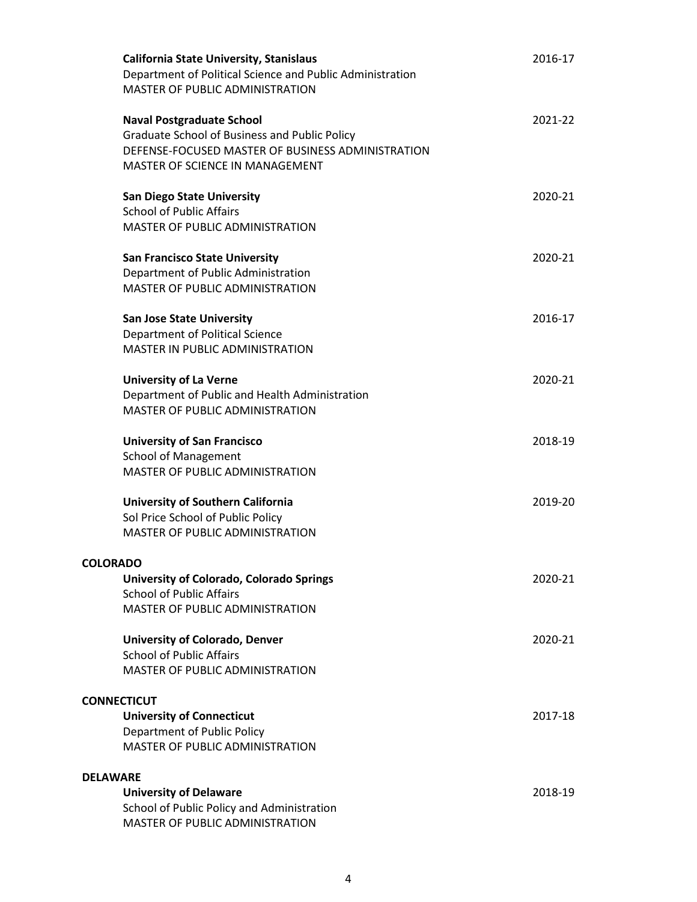| <b>California State University, Stanislaus</b><br>Department of Political Science and Public Administration<br>MASTER OF PUBLIC ADMINISTRATION                            | 2016-17 |
|---------------------------------------------------------------------------------------------------------------------------------------------------------------------------|---------|
| <b>Naval Postgraduate School</b><br>Graduate School of Business and Public Policy<br>DEFENSE-FOCUSED MASTER OF BUSINESS ADMINISTRATION<br>MASTER OF SCIENCE IN MANAGEMENT | 2021-22 |
| <b>San Diego State University</b><br><b>School of Public Affairs</b><br>MASTER OF PUBLIC ADMINISTRATION                                                                   | 2020-21 |
| <b>San Francisco State University</b><br>Department of Public Administration<br>MASTER OF PUBLIC ADMINISTRATION                                                           | 2020-21 |
| <b>San Jose State University</b><br><b>Department of Political Science</b><br>MASTER IN PUBLIC ADMINISTRATION                                                             | 2016-17 |
| <b>University of La Verne</b><br>Department of Public and Health Administration<br><b>MASTER OF PUBLIC ADMINISTRATION</b>                                                 | 2020-21 |
| <b>University of San Francisco</b><br><b>School of Management</b><br>MASTER OF PUBLIC ADMINISTRATION                                                                      | 2018-19 |
| University of Southern California<br>Sol Price School of Public Policy<br>MASTER OF PUBLIC ADMINISTRATION                                                                 | 2019-20 |
| <b>COLORADO</b><br>University of Colorado, Colorado Springs<br><b>School of Public Affairs</b><br>MASTER OF PUBLIC ADMINISTRATION                                         | 2020-21 |
| <b>University of Colorado, Denver</b><br><b>School of Public Affairs</b><br>MASTER OF PUBLIC ADMINISTRATION                                                               | 2020-21 |
| <b>CONNECTICUT</b><br><b>University of Connecticut</b><br>Department of Public Policy<br>MASTER OF PUBLIC ADMINISTRATION                                                  | 2017-18 |
| <b>DELAWARE</b><br><b>University of Delaware</b><br>School of Public Policy and Administration<br>MASTER OF PUBLIC ADMINISTRATION                                         | 2018-19 |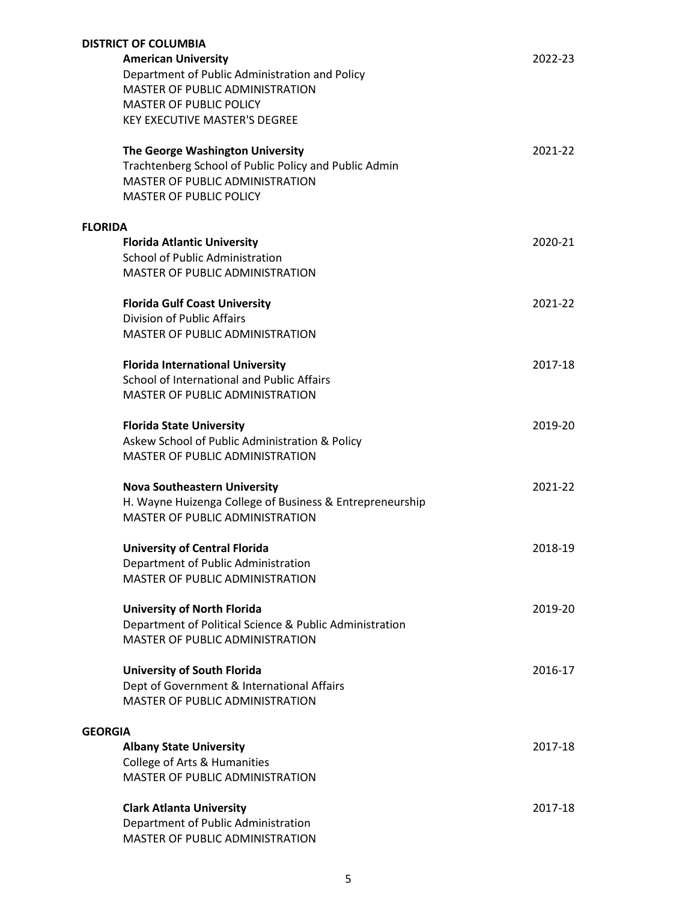|                | <b>DISTRICT OF COLUMBIA</b>                              |         |
|----------------|----------------------------------------------------------|---------|
|                | <b>American University</b>                               | 2022-23 |
|                | Department of Public Administration and Policy           |         |
|                | MASTER OF PUBLIC ADMINISTRATION                          |         |
|                | <b>MASTER OF PUBLIC POLICY</b>                           |         |
|                | <b>KEY EXECUTIVE MASTER'S DEGREE</b>                     |         |
|                |                                                          |         |
|                | The George Washington University                         | 2021-22 |
|                | Trachtenberg School of Public Policy and Public Admin    |         |
|                | MASTER OF PUBLIC ADMINISTRATION                          |         |
|                | <b>MASTER OF PUBLIC POLICY</b>                           |         |
|                |                                                          |         |
| <b>FLORIDA</b> | <b>Florida Atlantic University</b>                       | 2020-21 |
|                | <b>School of Public Administration</b>                   |         |
|                |                                                          |         |
|                | MASTER OF PUBLIC ADMINISTRATION                          |         |
|                | <b>Florida Gulf Coast University</b>                     | 2021-22 |
|                | <b>Division of Public Affairs</b>                        |         |
|                | <b>MASTER OF PUBLIC ADMINISTRATION</b>                   |         |
|                |                                                          |         |
|                | <b>Florida International University</b>                  | 2017-18 |
|                | School of International and Public Affairs               |         |
|                | MASTER OF PUBLIC ADMINISTRATION                          |         |
|                |                                                          |         |
|                | <b>Florida State University</b>                          | 2019-20 |
|                | Askew School of Public Administration & Policy           |         |
|                | MASTER OF PUBLIC ADMINISTRATION                          |         |
|                |                                                          |         |
|                | <b>Nova Southeastern University</b>                      | 2021-22 |
|                | H. Wayne Huizenga College of Business & Entrepreneurship |         |
|                | MASTER OF PUBLIC ADMINISTRATION                          |         |
|                | <b>University of Central Florida</b>                     | 2018-19 |
|                | Department of Public Administration                      |         |
|                | MASTER OF PUBLIC ADMINISTRATION                          |         |
|                |                                                          |         |
|                | <b>University of North Florida</b>                       | 2019-20 |
|                | Department of Political Science & Public Administration  |         |
|                | MASTER OF PUBLIC ADMINISTRATION                          |         |
|                |                                                          |         |
|                | <b>University of South Florida</b>                       | 2016-17 |
|                | Dept of Government & International Affairs               |         |
|                | <b>MASTER OF PUBLIC ADMINISTRATION</b>                   |         |
|                |                                                          |         |
| <b>GEORGIA</b> |                                                          |         |
|                | <b>Albany State University</b>                           | 2017-18 |
|                | College of Arts & Humanities                             |         |
|                | MASTER OF PUBLIC ADMINISTRATION                          |         |
|                | <b>Clark Atlanta University</b>                          | 2017-18 |
|                | Department of Public Administration                      |         |
|                | MASTER OF PUBLIC ADMINISTRATION                          |         |
|                |                                                          |         |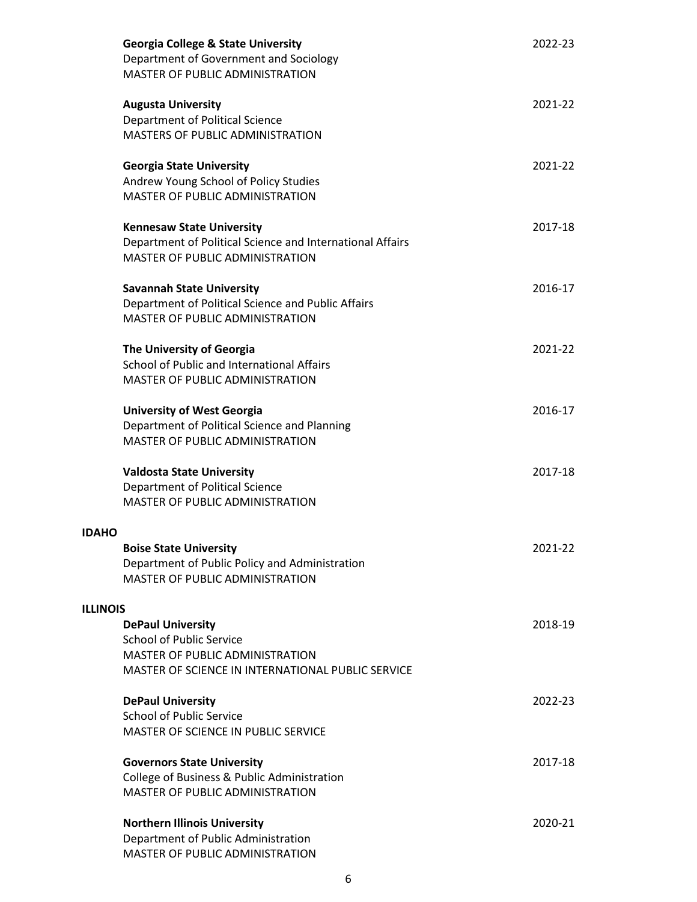|                 | <b>Georgia College &amp; State University</b><br>Department of Government and Sociology<br>MASTER OF PUBLIC ADMINISTRATION              | 2022-23 |
|-----------------|-----------------------------------------------------------------------------------------------------------------------------------------|---------|
|                 | <b>Augusta University</b><br>Department of Political Science<br>MASTERS OF PUBLIC ADMINISTRATION                                        | 2021-22 |
|                 | <b>Georgia State University</b><br>Andrew Young School of Policy Studies<br>MASTER OF PUBLIC ADMINISTRATION                             | 2021-22 |
|                 | <b>Kennesaw State University</b><br>Department of Political Science and International Affairs<br><b>MASTER OF PUBLIC ADMINISTRATION</b> | 2017-18 |
|                 | <b>Savannah State University</b><br>Department of Political Science and Public Affairs<br>MASTER OF PUBLIC ADMINISTRATION               | 2016-17 |
|                 | The University of Georgia<br>School of Public and International Affairs<br>MASTER OF PUBLIC ADMINISTRATION                              | 2021-22 |
|                 | <b>University of West Georgia</b><br>Department of Political Science and Planning<br>MASTER OF PUBLIC ADMINISTRATION                    | 2016-17 |
|                 | <b>Valdosta State University</b><br>Department of Political Science<br><b>MASTER OF PUBLIC ADMINISTRATION</b>                           | 2017-18 |
| <b>IDAHO</b>    |                                                                                                                                         |         |
|                 | <b>Boise State University</b><br>Department of Public Policy and Administration<br><b>MASTER OF PUBLIC ADMINISTRATION</b>               | 2021-22 |
| <b>ILLINOIS</b> |                                                                                                                                         |         |
|                 | <b>DePaul University</b><br><b>School of Public Service</b>                                                                             | 2018-19 |
|                 | <b>MASTER OF PUBLIC ADMINISTRATION</b><br>MASTER OF SCIENCE IN INTERNATIONAL PUBLIC SERVICE                                             |         |
|                 | <b>DePaul University</b><br><b>School of Public Service</b><br>MASTER OF SCIENCE IN PUBLIC SERVICE                                      | 2022-23 |
|                 | <b>Governors State University</b><br>College of Business & Public Administration<br><b>MASTER OF PUBLIC ADMINISTRATION</b>              | 2017-18 |
|                 | <b>Northern Illinois University</b><br>Department of Public Administration<br>MASTER OF PUBLIC ADMINISTRATION                           | 2020-21 |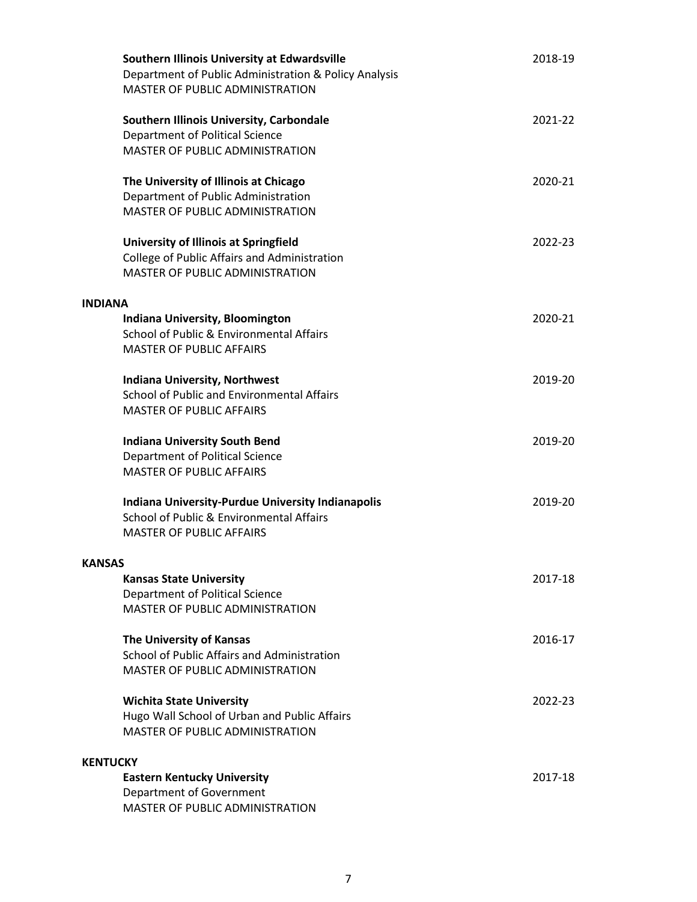|                 | Southern Illinois University at Edwardsville<br>Department of Public Administration & Policy Analysis<br>MASTER OF PUBLIC ADMINISTRATION | 2018-19 |
|-----------------|------------------------------------------------------------------------------------------------------------------------------------------|---------|
|                 | Southern Illinois University, Carbondale<br>Department of Political Science<br><b>MASTER OF PUBLIC ADMINISTRATION</b>                    | 2021-22 |
|                 | The University of Illinois at Chicago<br>Department of Public Administration<br>MASTER OF PUBLIC ADMINISTRATION                          | 2020-21 |
|                 | University of Illinois at Springfield<br>College of Public Affairs and Administration<br><b>MASTER OF PUBLIC ADMINISTRATION</b>          | 2022-23 |
| <b>INDIANA</b>  |                                                                                                                                          |         |
|                 | Indiana University, Bloomington<br>School of Public & Environmental Affairs<br><b>MASTER OF PUBLIC AFFAIRS</b>                           | 2020-21 |
|                 | <b>Indiana University, Northwest</b><br>School of Public and Environmental Affairs<br><b>MASTER OF PUBLIC AFFAIRS</b>                    | 2019-20 |
|                 | <b>Indiana University South Bend</b><br>Department of Political Science<br><b>MASTER OF PUBLIC AFFAIRS</b>                               | 2019-20 |
|                 | <b>Indiana University-Purdue University Indianapolis</b><br>School of Public & Environmental Affairs<br><b>MASTER OF PUBLIC AFFAIRS</b>  | 2019-20 |
| <b>KANSAS</b>   |                                                                                                                                          |         |
|                 | <b>Kansas State University</b><br>Department of Political Science<br><b>MASTER OF PUBLIC ADMINISTRATION</b>                              | 2017-18 |
|                 | The University of Kansas<br>School of Public Affairs and Administration<br><b>MASTER OF PUBLIC ADMINISTRATION</b>                        | 2016-17 |
|                 | <b>Wichita State University</b><br>Hugo Wall School of Urban and Public Affairs<br><b>MASTER OF PUBLIC ADMINISTRATION</b>                | 2022-23 |
| <b>KENTUCKY</b> |                                                                                                                                          |         |
|                 | <b>Eastern Kentucky University</b><br>Department of Government<br>MASTER OF PUBLIC ADMINISTRATION                                        | 2017-18 |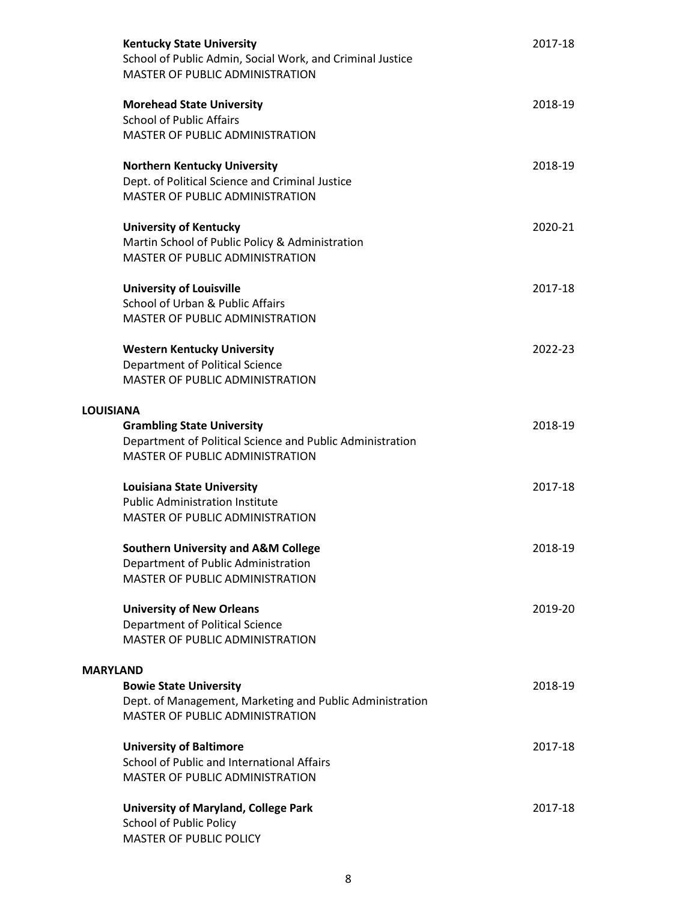| <b>Kentucky State University</b><br>School of Public Admin, Social Work, and Criminal Justice<br><b>MASTER OF PUBLIC ADMINISTRATION</b>                | 2017-18 |
|--------------------------------------------------------------------------------------------------------------------------------------------------------|---------|
| <b>Morehead State University</b><br><b>School of Public Affairs</b>                                                                                    | 2018-19 |
| MASTER OF PUBLIC ADMINISTRATION                                                                                                                        |         |
| <b>Northern Kentucky University</b><br>Dept. of Political Science and Criminal Justice<br>MASTER OF PUBLIC ADMINISTRATION                              | 2018-19 |
| <b>University of Kentucky</b><br>Martin School of Public Policy & Administration<br><b>MASTER OF PUBLIC ADMINISTRATION</b>                             | 2020-21 |
| <b>University of Louisville</b>                                                                                                                        | 2017-18 |
| School of Urban & Public Affairs<br>MASTER OF PUBLIC ADMINISTRATION                                                                                    |         |
| <b>Western Kentucky University</b><br>Department of Political Science<br><b>MASTER OF PUBLIC ADMINISTRATION</b>                                        | 2022-23 |
| <b>LOUISIANA</b>                                                                                                                                       |         |
| <b>Grambling State University</b><br>Department of Political Science and Public Administration                                                         | 2018-19 |
| MASTER OF PUBLIC ADMINISTRATION                                                                                                                        |         |
| <b>Louisiana State University</b><br><b>Public Administration Institute</b><br><b>MASTER OF PUBLIC ADMINISTRATION</b>                                  | 2017-18 |
| <b>Southern University and A&amp;M College</b><br>Department of Public Administration<br>MASTER OF PUBLIC ADMINISTRATION                               | 2018-19 |
| <b>University of New Orleans</b><br>Department of Political Science<br>MASTER OF PUBLIC ADMINISTRATION                                                 | 2019-20 |
| <b>MARYLAND</b><br><b>Bowie State University</b><br>Dept. of Management, Marketing and Public Administration<br><b>MASTER OF PUBLIC ADMINISTRATION</b> | 2018-19 |
| <b>University of Baltimore</b><br>School of Public and International Affairs<br>MASTER OF PUBLIC ADMINISTRATION                                        | 2017-18 |
| <b>University of Maryland, College Park</b><br><b>School of Public Policy</b><br><b>MASTER OF PUBLIC POLICY</b>                                        | 2017-18 |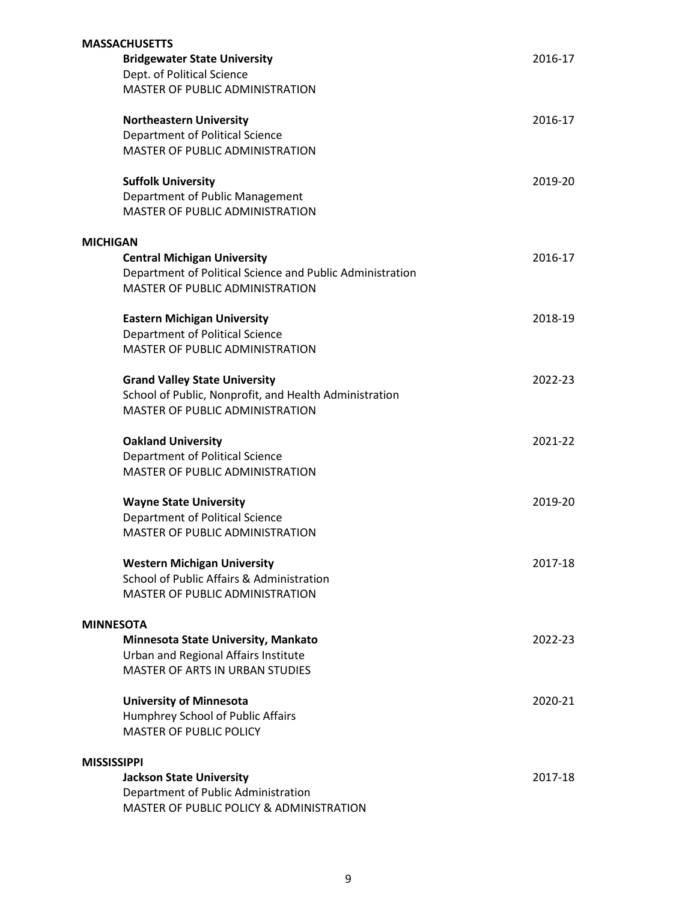|                    | <b>MASSACHUSETTS</b>                                                                                |         |
|--------------------|-----------------------------------------------------------------------------------------------------|---------|
|                    | <b>Bridgewater State University</b>                                                                 | 2016-17 |
|                    | Dept. of Political Science                                                                          |         |
|                    | MASTER OF PUBLIC ADMINISTRATION                                                                     |         |
|                    | <b>Northeastern University</b>                                                                      | 2016-17 |
|                    | Department of Political Science                                                                     |         |
|                    | <b>MASTER OF PUBLIC ADMINISTRATION</b>                                                              |         |
|                    | <b>Suffolk University</b>                                                                           | 2019-20 |
|                    | Department of Public Management                                                                     |         |
|                    | MASTER OF PUBLIC ADMINISTRATION                                                                     |         |
| <b>MICHIGAN</b>    |                                                                                                     |         |
|                    | <b>Central Michigan University</b>                                                                  | 2016-17 |
|                    | Department of Political Science and Public Administration<br><b>MASTER OF PUBLIC ADMINISTRATION</b> |         |
|                    | <b>Eastern Michigan University</b>                                                                  | 2018-19 |
|                    | <b>Department of Political Science</b>                                                              |         |
|                    | <b>MASTER OF PUBLIC ADMINISTRATION</b>                                                              |         |
|                    | <b>Grand Valley State University</b>                                                                | 2022-23 |
|                    | School of Public, Nonprofit, and Health Administration                                              |         |
|                    | <b>MASTER OF PUBLIC ADMINISTRATION</b>                                                              |         |
|                    | <b>Oakland University</b>                                                                           | 2021-22 |
|                    | Department of Political Science                                                                     |         |
|                    | <b>MASTER OF PUBLIC ADMINISTRATION</b>                                                              |         |
|                    | <b>Wayne State University</b>                                                                       | 2019-20 |
|                    | Department of Political Science                                                                     |         |
|                    | <b>MASTER OF PUBLIC ADMINISTRATION</b>                                                              |         |
|                    | <b>Western Michigan University</b>                                                                  | 2017-18 |
|                    | School of Public Affairs & Administration                                                           |         |
|                    | <b>MASTER OF PUBLIC ADMINISTRATION</b>                                                              |         |
| <b>MINNESOTA</b>   |                                                                                                     |         |
|                    | Minnesota State University, Mankato                                                                 | 2022-23 |
|                    | Urban and Regional Affairs Institute                                                                |         |
|                    | <b>MASTER OF ARTS IN URBAN STUDIES</b>                                                              |         |
|                    | <b>University of Minnesota</b>                                                                      | 2020-21 |
|                    | Humphrey School of Public Affairs                                                                   |         |
|                    | <b>MASTER OF PUBLIC POLICY</b>                                                                      |         |
| <b>MISSISSIPPI</b> |                                                                                                     |         |
|                    | <b>Jackson State University</b>                                                                     | 2017-18 |
|                    | Department of Public Administration                                                                 |         |
|                    | MASTER OF PUBLIC POLICY & ADMINISTRATION                                                            |         |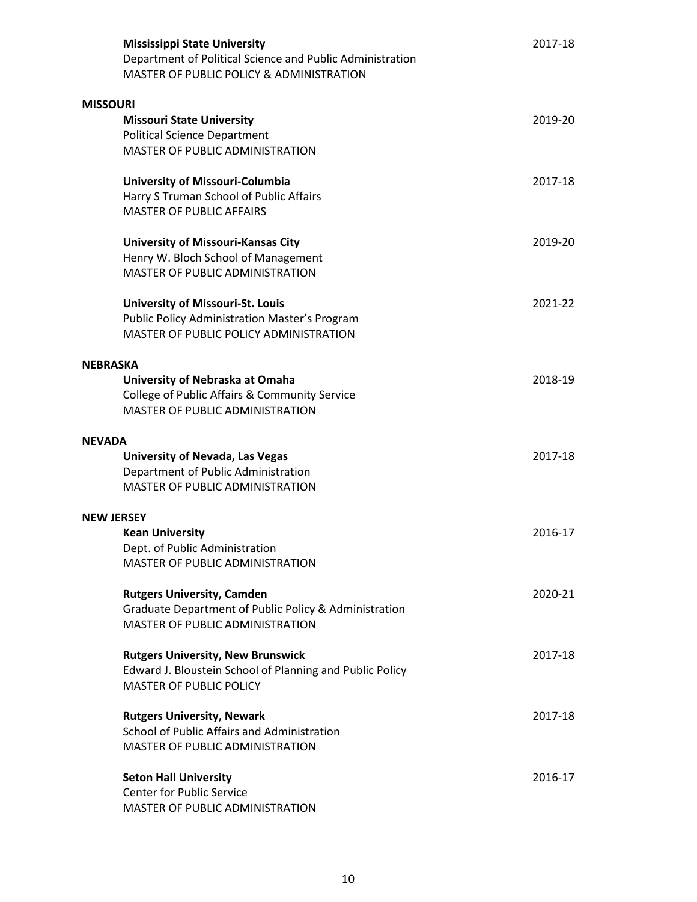|                   | <b>Mississippi State University</b><br>Department of Political Science and Public Administration<br>MASTER OF PUBLIC POLICY & ADMINISTRATION | 2017-18 |
|-------------------|----------------------------------------------------------------------------------------------------------------------------------------------|---------|
| <b>MISSOURI</b>   |                                                                                                                                              |         |
|                   | <b>Missouri State University</b>                                                                                                             | 2019-20 |
|                   | <b>Political Science Department</b>                                                                                                          |         |
|                   | MASTER OF PUBLIC ADMINISTRATION                                                                                                              |         |
|                   |                                                                                                                                              |         |
|                   | University of Missouri-Columbia                                                                                                              | 2017-18 |
|                   | Harry S Truman School of Public Affairs                                                                                                      |         |
|                   | <b>MASTER OF PUBLIC AFFAIRS</b>                                                                                                              |         |
|                   | <b>University of Missouri-Kansas City</b>                                                                                                    | 2019-20 |
|                   | Henry W. Bloch School of Management                                                                                                          |         |
|                   | MASTER OF PUBLIC ADMINISTRATION                                                                                                              |         |
|                   |                                                                                                                                              |         |
|                   | <b>University of Missouri-St. Louis</b>                                                                                                      | 2021-22 |
|                   | <b>Public Policy Administration Master's Program</b>                                                                                         |         |
|                   | MASTER OF PUBLIC POLICY ADMINISTRATION                                                                                                       |         |
| <b>NEBRASKA</b>   |                                                                                                                                              |         |
|                   | University of Nebraska at Omaha                                                                                                              | 2018-19 |
|                   | College of Public Affairs & Community Service                                                                                                |         |
|                   | <b>MASTER OF PUBLIC ADMINISTRATION</b>                                                                                                       |         |
|                   |                                                                                                                                              |         |
| <b>NEVADA</b>     |                                                                                                                                              |         |
|                   | University of Nevada, Las Vegas                                                                                                              | 2017-18 |
|                   | Department of Public Administration                                                                                                          |         |
|                   | <b>MASTER OF PUBLIC ADMINISTRATION</b>                                                                                                       |         |
| <b>NEW JERSEY</b> |                                                                                                                                              |         |
|                   | <b>Kean University</b>                                                                                                                       | 2016-17 |
|                   | Dept. of Public Administration                                                                                                               |         |
|                   | <b>MASTER OF PUBLIC ADMINISTRATION</b>                                                                                                       |         |
|                   |                                                                                                                                              |         |
|                   | <b>Rutgers University, Camden</b>                                                                                                            | 2020-21 |
|                   | Graduate Department of Public Policy & Administration                                                                                        |         |
|                   | MASTER OF PUBLIC ADMINISTRATION                                                                                                              |         |
|                   | <b>Rutgers University, New Brunswick</b>                                                                                                     | 2017-18 |
|                   | Edward J. Bloustein School of Planning and Public Policy                                                                                     |         |
|                   | <b>MASTER OF PUBLIC POLICY</b>                                                                                                               |         |
|                   |                                                                                                                                              |         |
|                   | <b>Rutgers University, Newark</b>                                                                                                            | 2017-18 |
|                   | School of Public Affairs and Administration                                                                                                  |         |
|                   | MASTER OF PUBLIC ADMINISTRATION                                                                                                              |         |
|                   |                                                                                                                                              |         |
|                   | <b>Seton Hall University</b><br><b>Center for Public Service</b>                                                                             | 2016-17 |
|                   | MASTER OF PUBLIC ADMINISTRATION                                                                                                              |         |
|                   |                                                                                                                                              |         |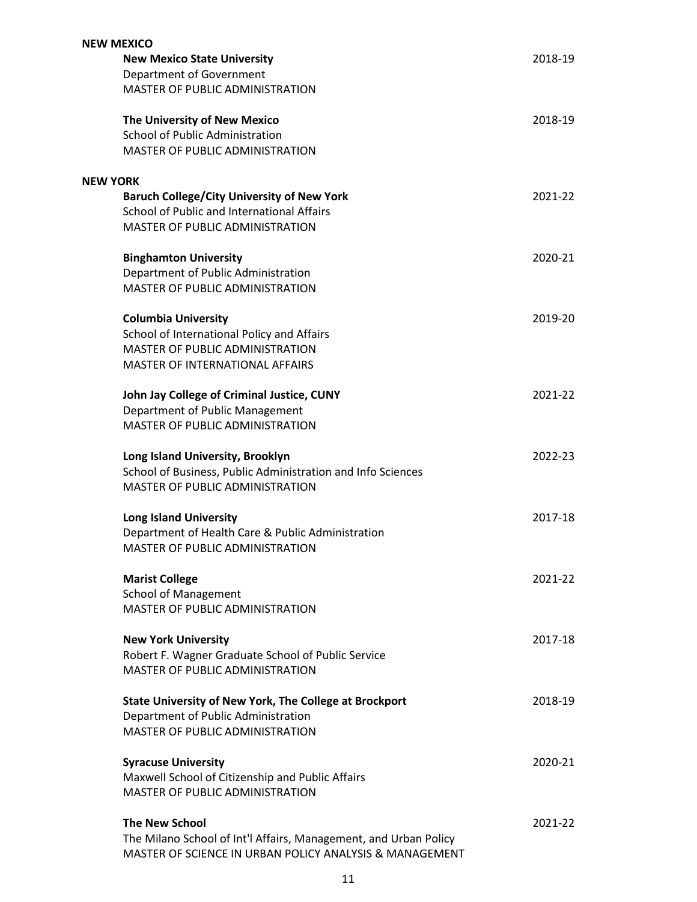| <b>NEW MEXICO</b>                                                |         |
|------------------------------------------------------------------|---------|
| <b>New Mexico State University</b>                               | 2018-19 |
| Department of Government                                         |         |
| MASTER OF PUBLIC ADMINISTRATION                                  |         |
| The University of New Mexico                                     | 2018-19 |
| <b>School of Public Administration</b>                           |         |
| <b>MASTER OF PUBLIC ADMINISTRATION</b>                           |         |
| <b>NEW YORK</b>                                                  |         |
| <b>Baruch College/City University of New York</b>                | 2021-22 |
| School of Public and International Affairs                       |         |
| <b>MASTER OF PUBLIC ADMINISTRATION</b>                           |         |
| <b>Binghamton University</b>                                     | 2020-21 |
| Department of Public Administration                              |         |
| MASTER OF PUBLIC ADMINISTRATION                                  |         |
| <b>Columbia University</b>                                       | 2019-20 |
| School of International Policy and Affairs                       |         |
| MASTER OF PUBLIC ADMINISTRATION                                  |         |
| <b>MASTER OF INTERNATIONAL AFFAIRS</b>                           |         |
| John Jay College of Criminal Justice, CUNY                       | 2021-22 |
| Department of Public Management                                  |         |
| <b>MASTER OF PUBLIC ADMINISTRATION</b>                           |         |
| Long Island University, Brooklyn                                 | 2022-23 |
| School of Business, Public Administration and Info Sciences      |         |
| <b>MASTER OF PUBLIC ADMINISTRATION</b>                           |         |
| <b>Long Island University</b>                                    | 2017-18 |
| Department of Health Care & Public Administration                |         |
| MASTER OF PUBLIC ADMINISTRATION                                  |         |
| <b>Marist College</b>                                            | 2021-22 |
| <b>School of Management</b>                                      |         |
| MASTER OF PUBLIC ADMINISTRATION                                  |         |
| <b>New York University</b>                                       | 2017-18 |
| Robert F. Wagner Graduate School of Public Service               |         |
| MASTER OF PUBLIC ADMINISTRATION                                  |         |
| <b>State University of New York, The College at Brockport</b>    | 2018-19 |
| Department of Public Administration                              |         |
| MASTER OF PUBLIC ADMINISTRATION                                  |         |
| <b>Syracuse University</b>                                       | 2020-21 |
| Maxwell School of Citizenship and Public Affairs                 |         |
| MASTER OF PUBLIC ADMINISTRATION                                  |         |
| <b>The New School</b>                                            | 2021-22 |
| The Milano School of Int'l Affairs, Management, and Urban Policy |         |
| MASTER OF SCIENCE IN URBAN POLICY ANALYSIS & MANAGEMENT          |         |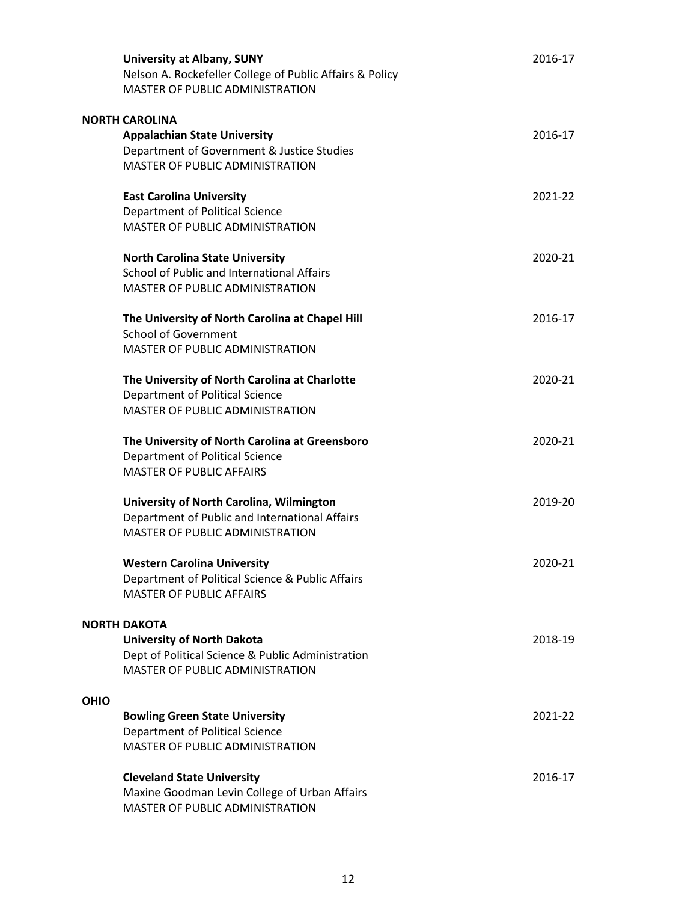|             | <b>University at Albany, SUNY</b><br>Nelson A. Rockefeller College of Public Affairs & Policy<br><b>MASTER OF PUBLIC ADMINISTRATION</b>          | 2016-17 |
|-------------|--------------------------------------------------------------------------------------------------------------------------------------------------|---------|
|             | <b>NORTH CAROLINA</b><br><b>Appalachian State University</b><br>Department of Government & Justice Studies<br>MASTER OF PUBLIC ADMINISTRATION    | 2016-17 |
|             | <b>East Carolina University</b><br>Department of Political Science<br><b>MASTER OF PUBLIC ADMINISTRATION</b>                                     | 2021-22 |
|             | <b>North Carolina State University</b><br>School of Public and International Affairs<br><b>MASTER OF PUBLIC ADMINISTRATION</b>                   | 2020-21 |
|             | The University of North Carolina at Chapel Hill<br><b>School of Government</b><br>MASTER OF PUBLIC ADMINISTRATION                                | 2016-17 |
|             | The University of North Carolina at Charlotte<br>Department of Political Science<br><b>MASTER OF PUBLIC ADMINISTRATION</b>                       | 2020-21 |
|             | The University of North Carolina at Greensboro<br>Department of Political Science<br><b>MASTER OF PUBLIC AFFAIRS</b>                             | 2020-21 |
|             | University of North Carolina, Wilmington<br>Department of Public and International Affairs<br><b>MASTER OF PUBLIC ADMINISTRATION</b>             | 2019-20 |
|             | <b>Western Carolina University</b><br>Department of Political Science & Public Affairs<br><b>MASTER OF PUBLIC AFFAIRS</b>                        | 2020-21 |
|             | <b>NORTH DAKOTA</b><br><b>University of North Dakota</b><br>Dept of Political Science & Public Administration<br>MASTER OF PUBLIC ADMINISTRATION | 2018-19 |
| <b>OHIO</b> |                                                                                                                                                  |         |
|             | <b>Bowling Green State University</b><br>Department of Political Science<br>MASTER OF PUBLIC ADMINISTRATION                                      | 2021-22 |
|             | <b>Cleveland State University</b><br>Maxine Goodman Levin College of Urban Affairs<br>MASTER OF PUBLIC ADMINISTRATION                            | 2016-17 |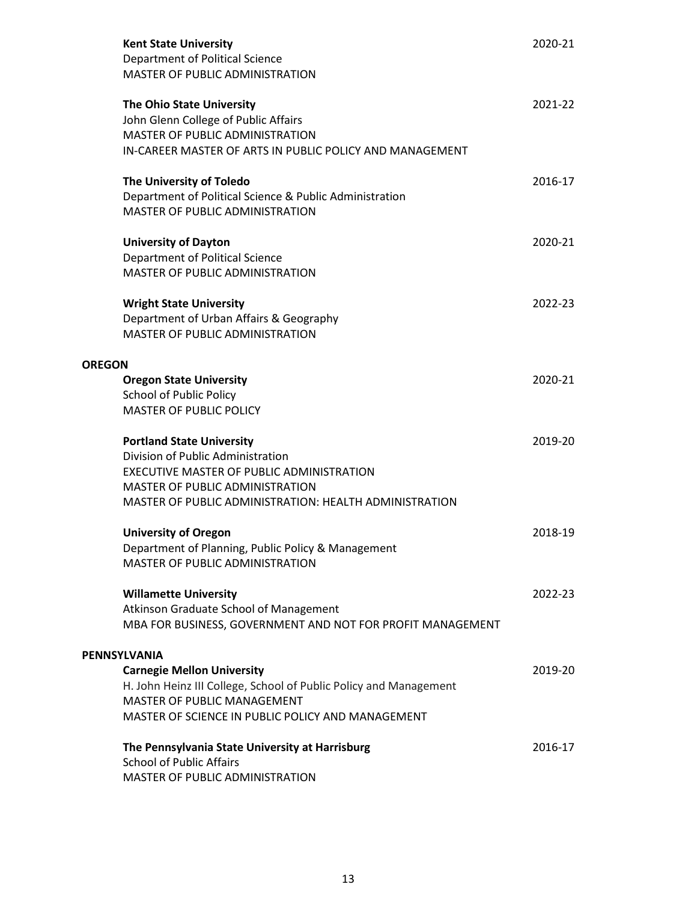|               | <b>Kent State University</b><br>Department of Political Science<br>MASTER OF PUBLIC ADMINISTRATION                                                               | 2020-21 |
|---------------|------------------------------------------------------------------------------------------------------------------------------------------------------------------|---------|
|               | The Ohio State University<br>John Glenn College of Public Affairs<br>MASTER OF PUBLIC ADMINISTRATION<br>IN-CAREER MASTER OF ARTS IN PUBLIC POLICY AND MANAGEMENT | 2021-22 |
|               | The University of Toledo<br>Department of Political Science & Public Administration<br><b>MASTER OF PUBLIC ADMINISTRATION</b>                                    | 2016-17 |
|               | <b>University of Dayton</b><br><b>Department of Political Science</b><br>MASTER OF PUBLIC ADMINISTRATION                                                         | 2020-21 |
|               | <b>Wright State University</b><br>Department of Urban Affairs & Geography<br><b>MASTER OF PUBLIC ADMINISTRATION</b>                                              | 2022-23 |
| <b>OREGON</b> |                                                                                                                                                                  |         |
|               | <b>Oregon State University</b>                                                                                                                                   | 2020-21 |
|               | <b>School of Public Policy</b>                                                                                                                                   |         |
|               | <b>MASTER OF PUBLIC POLICY</b>                                                                                                                                   |         |
|               | <b>Portland State University</b><br>Division of Public Administration                                                                                            | 2019-20 |
|               | EXECUTIVE MASTER OF PUBLIC ADMINISTRATION                                                                                                                        |         |
|               | MASTER OF PUBLIC ADMINISTRATION<br>MASTER OF PUBLIC ADMINISTRATION: HEALTH ADMINISTRATION                                                                        |         |
|               | <b>University of Oregon</b>                                                                                                                                      | 2018-19 |
|               | Department of Planning, Public Policy & Management<br>MASTER OF PUBLIC ADMINISTRATION                                                                            |         |
|               | <b>Willamette University</b>                                                                                                                                     | 2022-23 |
|               | Atkinson Graduate School of Management                                                                                                                           |         |
|               | MBA FOR BUSINESS, GOVERNMENT AND NOT FOR PROFIT MANAGEMENT                                                                                                       |         |
|               | PENNSYLVANIA                                                                                                                                                     |         |
|               | <b>Carnegie Mellon University</b>                                                                                                                                | 2019-20 |
|               | H. John Heinz III College, School of Public Policy and Management                                                                                                |         |
|               | MASTER OF PUBLIC MANAGEMENT                                                                                                                                      |         |
|               | MASTER OF SCIENCE IN PUBLIC POLICY AND MANAGEMENT                                                                                                                |         |
|               | The Pennsylvania State University at Harrisburg<br><b>School of Public Affairs</b><br>MASTER OF PUBLIC ADMINISTRATION                                            | 2016-17 |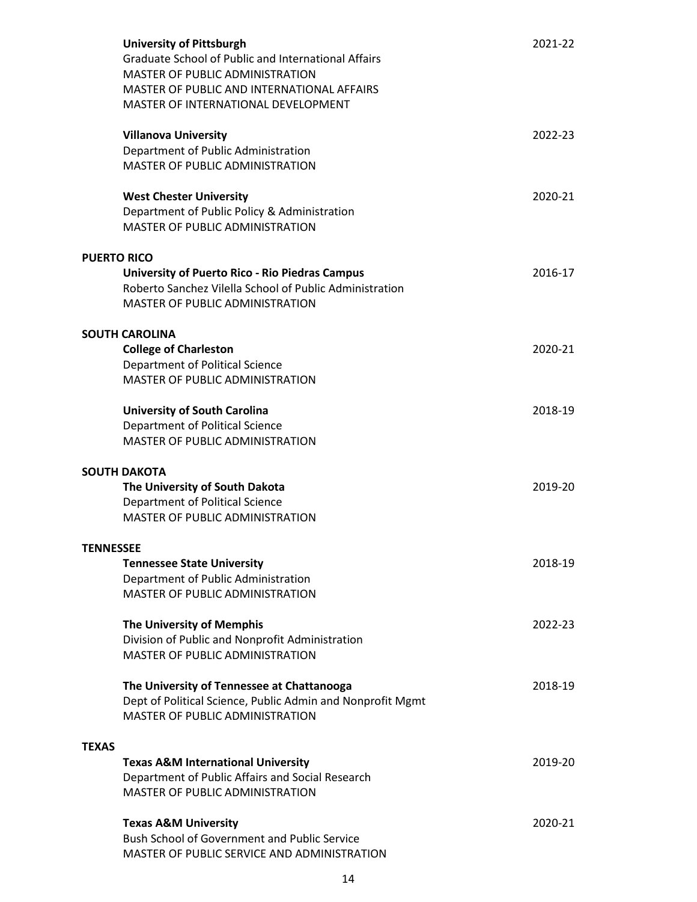|              | <b>University of Pittsburgh</b><br>Graduate School of Public and International Affairs<br><b>MASTER OF PUBLIC ADMINISTRATION</b><br>MASTER OF PUBLIC AND INTERNATIONAL AFFAIRS<br>MASTER OF INTERNATIONAL DEVELOPMENT | 2021-22 |
|--------------|-----------------------------------------------------------------------------------------------------------------------------------------------------------------------------------------------------------------------|---------|
|              | <b>Villanova University</b><br>Department of Public Administration<br>MASTER OF PUBLIC ADMINISTRATION                                                                                                                 | 2022-23 |
|              | <b>West Chester University</b><br>Department of Public Policy & Administration<br><b>MASTER OF PUBLIC ADMINISTRATION</b>                                                                                              | 2020-21 |
|              | <b>PUERTO RICO</b>                                                                                                                                                                                                    |         |
|              | <b>University of Puerto Rico - Rio Piedras Campus</b><br>Roberto Sanchez Vilella School of Public Administration<br><b>MASTER OF PUBLIC ADMINISTRATION</b>                                                            | 2016-17 |
|              | <b>SOUTH CAROLINA</b>                                                                                                                                                                                                 |         |
|              | <b>College of Charleston</b>                                                                                                                                                                                          | 2020-21 |
|              | Department of Political Science                                                                                                                                                                                       |         |
|              | <b>MASTER OF PUBLIC ADMINISTRATION</b>                                                                                                                                                                                |         |
|              | <b>University of South Carolina</b>                                                                                                                                                                                   | 2018-19 |
|              | Department of Political Science                                                                                                                                                                                       |         |
|              | <b>MASTER OF PUBLIC ADMINISTRATION</b>                                                                                                                                                                                |         |
|              | <b>SOUTH DAKOTA</b>                                                                                                                                                                                                   |         |
|              | The University of South Dakota                                                                                                                                                                                        | 2019-20 |
|              | Department of Political Science                                                                                                                                                                                       |         |
|              | <b>MASTER OF PUBLIC ADMINISTRATION</b>                                                                                                                                                                                |         |
|              | <b>TENNESSEE</b>                                                                                                                                                                                                      |         |
|              | <b>Tennessee State University</b>                                                                                                                                                                                     | 2018-19 |
|              | Department of Public Administration                                                                                                                                                                                   |         |
|              | <b>MASTER OF PUBLIC ADMINISTRATION</b>                                                                                                                                                                                |         |
|              | The University of Memphis                                                                                                                                                                                             | 2022-23 |
|              | Division of Public and Nonprofit Administration                                                                                                                                                                       |         |
|              | MASTER OF PUBLIC ADMINISTRATION                                                                                                                                                                                       |         |
|              | The University of Tennessee at Chattanooga                                                                                                                                                                            | 2018-19 |
|              | Dept of Political Science, Public Admin and Nonprofit Mgmt                                                                                                                                                            |         |
|              | MASTER OF PUBLIC ADMINISTRATION                                                                                                                                                                                       |         |
| <b>TEXAS</b> |                                                                                                                                                                                                                       |         |
|              | <b>Texas A&amp;M International University</b>                                                                                                                                                                         | 2019-20 |
|              | Department of Public Affairs and Social Research                                                                                                                                                                      |         |
|              | <b>MASTER OF PUBLIC ADMINISTRATION</b>                                                                                                                                                                                |         |
|              |                                                                                                                                                                                                                       | 2020-21 |
|              |                                                                                                                                                                                                                       |         |
|              | <b>Texas A&amp;M University</b><br><b>Bush School of Government and Public Service</b>                                                                                                                                |         |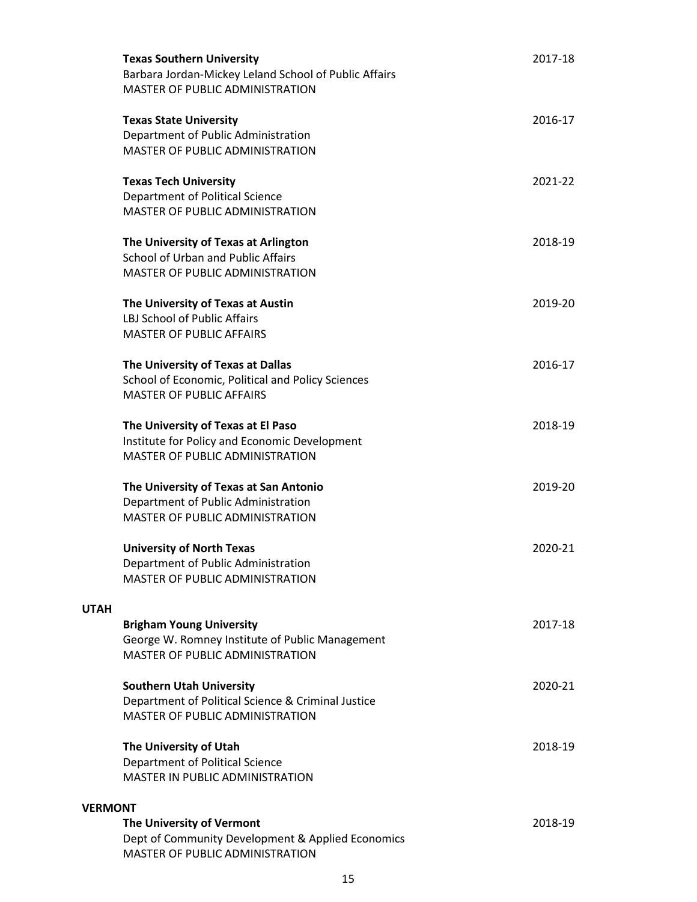|                | <b>Texas Southern University</b><br>Barbara Jordan-Mickey Leland School of Public Affairs<br>MASTER OF PUBLIC ADMINISTRATION    | 2017-18 |  |
|----------------|---------------------------------------------------------------------------------------------------------------------------------|---------|--|
|                | <b>Texas State University</b><br>Department of Public Administration<br>MASTER OF PUBLIC ADMINISTRATION                         | 2016-17 |  |
|                | <b>Texas Tech University</b><br>Department of Political Science<br>MASTER OF PUBLIC ADMINISTRATION                              | 2021-22 |  |
|                | The University of Texas at Arlington<br>School of Urban and Public Affairs<br>MASTER OF PUBLIC ADMINISTRATION                   | 2018-19 |  |
|                | The University of Texas at Austin<br>LBJ School of Public Affairs<br><b>MASTER OF PUBLIC AFFAIRS</b>                            | 2019-20 |  |
|                | The University of Texas at Dallas<br>School of Economic, Political and Policy Sciences<br><b>MASTER OF PUBLIC AFFAIRS</b>       | 2016-17 |  |
|                | The University of Texas at El Paso<br>Institute for Policy and Economic Development<br>MASTER OF PUBLIC ADMINISTRATION          | 2018-19 |  |
|                | The University of Texas at San Antonio<br>Department of Public Administration<br>MASTER OF PUBLIC ADMINISTRATION                | 2019-20 |  |
|                | <b>University of North Texas</b><br>Department of Public Administration<br><b>MASTER OF PUBLIC ADMINISTRATION</b>               | 2020-21 |  |
| <b>UTAH</b>    |                                                                                                                                 |         |  |
|                | <b>Brigham Young University</b><br>George W. Romney Institute of Public Management<br>MASTER OF PUBLIC ADMINISTRATION           | 2017-18 |  |
|                | <b>Southern Utah University</b><br>Department of Political Science & Criminal Justice<br><b>MASTER OF PUBLIC ADMINISTRATION</b> | 2020-21 |  |
|                | The University of Utah<br>Department of Political Science<br>MASTER IN PUBLIC ADMINISTRATION                                    | 2018-19 |  |
| <b>VERMONT</b> |                                                                                                                                 |         |  |
|                | The University of Vermont<br>Dept of Community Development & Applied Economics<br>MASTER OF PUBLIC ADMINISTRATION               | 2018-19 |  |